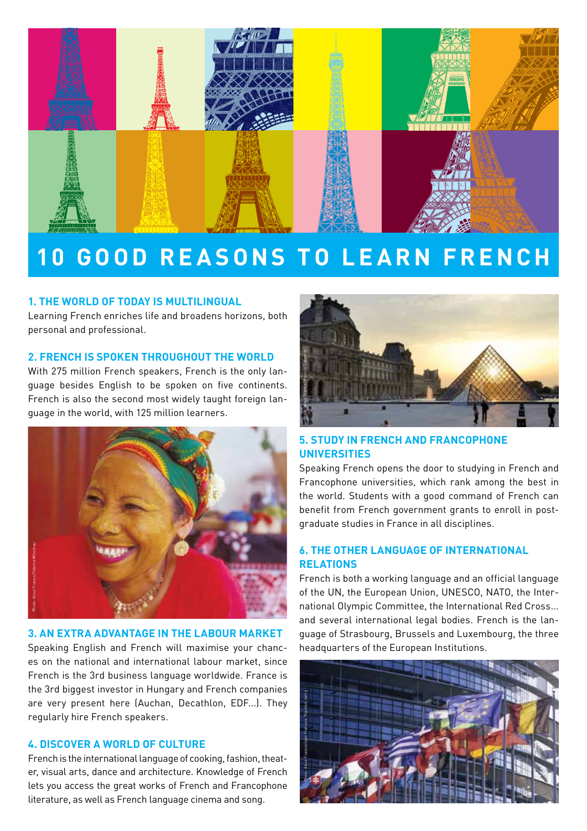

# **10 GOOD REASONS TO LEARN FRENCH**

#### **1. THE WORLD OF TODAY IS MULTILINGUAL**

Learning French enriches life and broadens horizons, both personal and professional.

#### **2. FRENCH IS SPOKEN THROUGHOUT THE WORLD**

With 275 million French speakers, French is the only language besides English to be spoken on five continents. French is also the second most widely taught foreign language in the world, with 125 million learners.



#### **3. AN EXTRA ADVANTAGE IN THE LABOUR MARKET**

Speaking English and French will maximise your chances on the national and international labour market, since French is the 3rd business language worldwide. France is the 3rd biggest investor in Hungary and French companies are very present here (Auchan, Decathlon, EDF...). They regularly hire French speakers.

### **4. DISCOVER A WORLD OF CULTURE**

French is the international language of cooking, fashion, theater, visual arts, dance and architecture. Knowledge of French lets you access the great works of French and Francophone literature, as well as French language cinema and song.



# **5. STUDY IN FRENCH AND FRANCOPHONE UNIVERSITIES**

Speaking French opens the door to studying in French and Francophone universities, which rank among the best in the world. Students with a good command of French can benefit from French government grants to enroll in postgraduate studies in France in all disciplines.

## **6. THE OTHER LANGUAGE OF INTERNATIONAL RELATIONS**

French is both a working language and an official language of the UN, the European Union, UNESCO, NATO, the International Olympic Committee, the International Red Cross... and several international legal bodies. French is the language of Strasbourg, Brussels and Luxembourg, the three headquarters of the European Institutions.